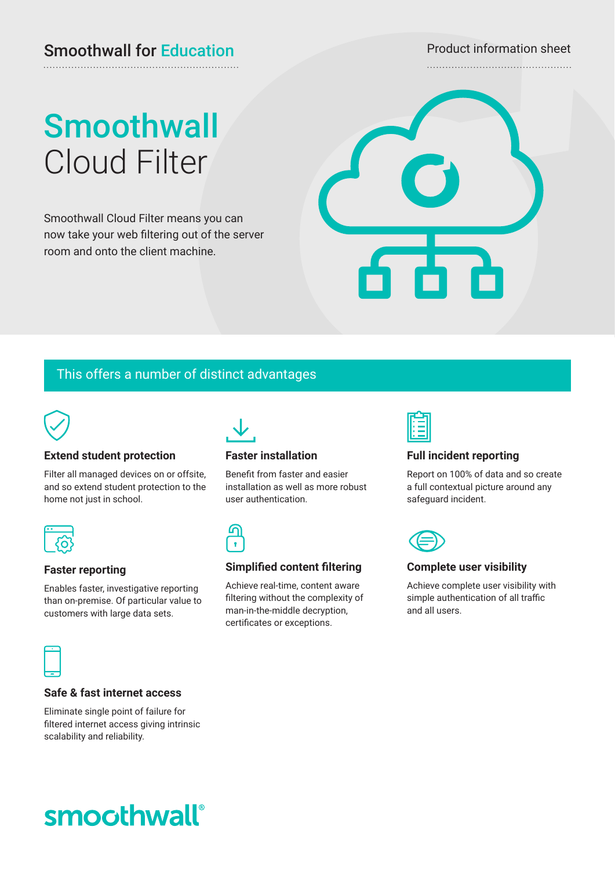# Smoothwall for Education Product information sheet

# **Smoothwall** Cloud Filter

Smoothwall Cloud Filter means you can now take your web filtering out of the server room and onto the client machine.



# This offers a number of distinct advantages



# **Extend student protection**

Filter all managed devices on or offsite, and so extend student protection to the home not just in school.

## **Faster reporting**

Enables faster, investigative reporting than on-premise. Of particular value to customers with large data sets.



## **Faster installation**

Benefit from faster and easier installation as well as more robust user authentication.



## **Simplified content filtering**

Achieve real-time, content aware filtering without the complexity of man-in-the-middle decryption, certificates or exceptions.



## **Full incident reporting**

Report on 100% of data and so create a full contextual picture around any safeguard incident.



## **Complete user visibility**

Achieve complete user visibility with simple authentication of all traffic and all users.



## **Safe & fast internet access**

Eliminate single point of failure for filtered internet access giving intrinsic scalability and reliability.

# smoothwall®